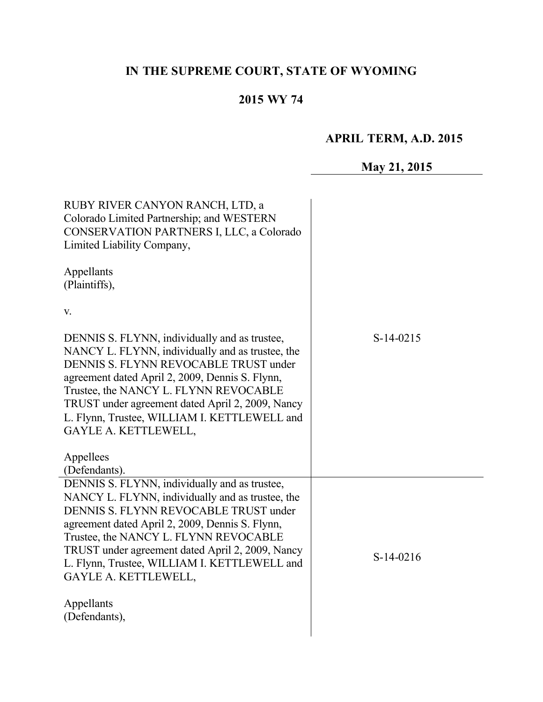# **IN THE SUPREME COURT, STATE OF WYOMING**

# **2015 WY 74**

# **APRIL TERM, A.D. 2015**

# **May 21, 2015**

| RUBY RIVER CANYON RANCH, LTD, a<br>Colorado Limited Partnership; and WESTERN<br>CONSERVATION PARTNERS I, LLC, a Colorado<br>Limited Liability Company,                                                                                                                                                                                                             |             |
|--------------------------------------------------------------------------------------------------------------------------------------------------------------------------------------------------------------------------------------------------------------------------------------------------------------------------------------------------------------------|-------------|
| Appellants<br>(Plaintiffs),                                                                                                                                                                                                                                                                                                                                        |             |
| V.                                                                                                                                                                                                                                                                                                                                                                 |             |
| DENNIS S. FLYNN, individually and as trustee,<br>NANCY L. FLYNN, individually and as trustee, the<br>DENNIS S. FLYNN REVOCABLE TRUST under<br>agreement dated April 2, 2009, Dennis S. Flynn,<br>Trustee, the NANCY L. FLYNN REVOCABLE<br>TRUST under agreement dated April 2, 2009, Nancy<br>L. Flynn, Trustee, WILLIAM I. KETTLEWELL and<br>GAYLE A. KETTLEWELL, | $S-14-0215$ |
| Appellees<br>(Defendants).                                                                                                                                                                                                                                                                                                                                         |             |
| DENNIS S. FLYNN, individually and as trustee,<br>NANCY L. FLYNN, individually and as trustee, the<br>DENNIS S. FLYNN REVOCABLE TRUST under<br>agreement dated April 2, 2009, Dennis S. Flynn,<br>Trustee, the NANCY L. FLYNN REVOCABLE<br>TRUST under agreement dated April 2, 2009, Nancy<br>L. Flynn, Trustee, WILLIAM I. KETTLEWELL and<br>GAYLE A. KETTLEWELL, | $S-14-0216$ |
| Appellants<br>(Defendants),                                                                                                                                                                                                                                                                                                                                        |             |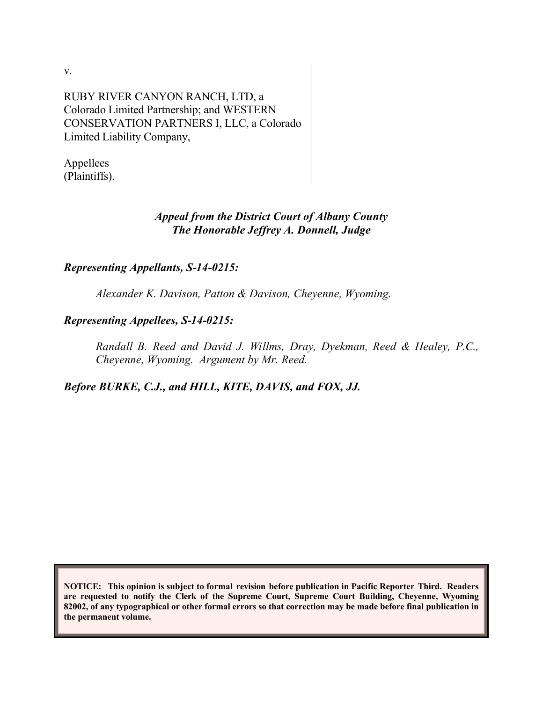v.

RUBY RIVER CANYON RANCH, LTD, a Colorado Limited Partnership; and WESTERN CONSERVATION PARTNERS I, LLC, a Colorado Limited Liability Company,

Appellees (Plaintiffs).

## *Appeal from the District Court of Albany County The Honorable Jeffrey A. Donnell, Judge*

# *Representing Appellants, S-14-0215:*

*Alexander K. Davison, Patton & Davison, Cheyenne, Wyoming.*

# *Representing Appellees, S-14-0215:*

*Randall B. Reed and David J. Willms, Dray, Dyekman, Reed & Healey, P.C., Cheyenne, Wyoming. Argument by Mr. Reed.*

*Before BURKE, C.J., and HILL, KITE, DAVIS, and FOX, JJ.*

**NOTICE: This opinion is subject to formal revision before publication in Pacific Reporter Third. Readers are requested to notify the Clerk of the Supreme Court, Supreme Court Building, Cheyenne, Wyoming 82002, of any typographical or other formal errors so that correction may be made before final publication in the permanent volume.**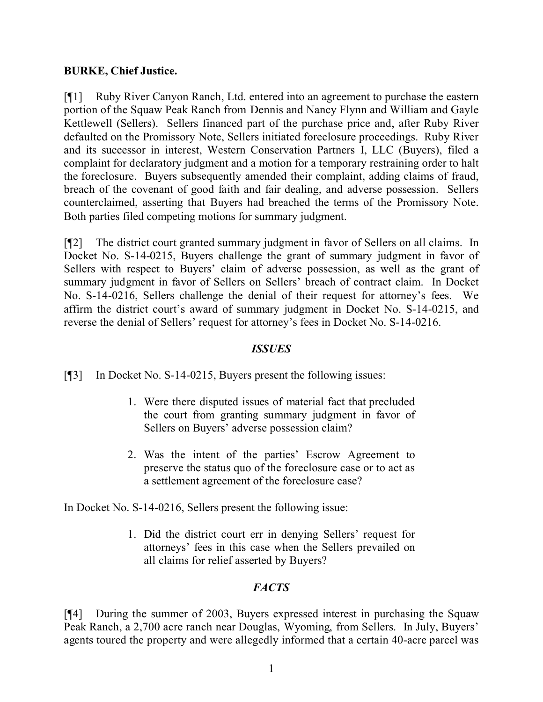### **BURKE, Chief Justice.**

[¶1] Ruby River Canyon Ranch, Ltd. entered into an agreement to purchase the eastern portion of the Squaw Peak Ranch from Dennis and Nancy Flynn and William and Gayle Kettlewell (Sellers). Sellers financed part of the purchase price and, after Ruby River defaulted on the Promissory Note, Sellers initiated foreclosure proceedings. Ruby River and its successor in interest, Western Conservation Partners I, LLC (Buyers), filed a complaint for declaratory judgment and a motion for a temporary restraining order to halt the foreclosure. Buyers subsequently amended their complaint, adding claims of fraud, breach of the covenant of good faith and fair dealing, and adverse possession. Sellers counterclaimed, asserting that Buyers had breached the terms of the Promissory Note. Both parties filed competing motions for summary judgment.

[¶2] The district court granted summary judgment in favor of Sellers on all claims. In Docket No. S-14-0215, Buyers challenge the grant of summary judgment in favor of Sellers with respect to Buyers' claim of adverse possession, as well as the grant of summary judgment in favor of Sellers on Sellers' breach of contract claim. In Docket No. S-14-0216, Sellers challenge the denial of their request for attorney's fees. We affirm the district court's award of summary judgment in Docket No. S-14-0215, and reverse the denial of Sellers' request for attorney's fees in Docket No. S-14-0216.

## *ISSUES*

[¶3] In Docket No. S-14-0215, Buyers present the following issues:

- 1. Were there disputed issues of material fact that precluded the court from granting summary judgment in favor of Sellers on Buyers' adverse possession claim?
- 2. Was the intent of the parties' Escrow Agreement to preserve the status quo of the foreclosure case or to act as a settlement agreement of the foreclosure case?

In Docket No. S-14-0216, Sellers present the following issue:

1. Did the district court err in denying Sellers' request for attorneys' fees in this case when the Sellers prevailed on all claims for relief asserted by Buyers?

# *FACTS*

[¶4] During the summer of 2003, Buyers expressed interest in purchasing the Squaw Peak Ranch, a 2,700 acre ranch near Douglas, Wyoming, from Sellers. In July, Buyers' agents toured the property and were allegedly informed that a certain 40-acre parcel was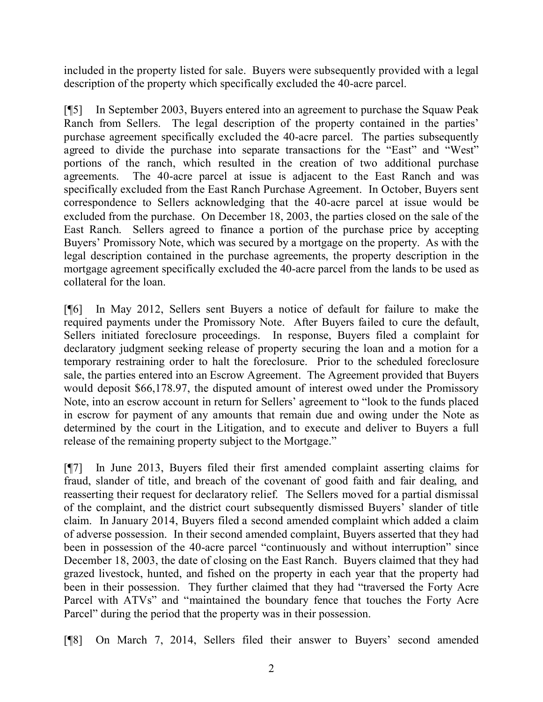included in the property listed for sale. Buyers were subsequently provided with a legal description of the property which specifically excluded the 40-acre parcel.

[¶5] In September 2003, Buyers entered into an agreement to purchase the Squaw Peak Ranch from Sellers. The legal description of the property contained in the parties' purchase agreement specifically excluded the 40-acre parcel. The parties subsequently agreed to divide the purchase into separate transactions for the "East" and "West" portions of the ranch, which resulted in the creation of two additional purchase agreements. The 40-acre parcel at issue is adjacent to the East Ranch and was specifically excluded from the East Ranch Purchase Agreement. In October, Buyers sent correspondence to Sellers acknowledging that the 40-acre parcel at issue would be excluded from the purchase. On December 18, 2003, the parties closed on the sale of the East Ranch. Sellers agreed to finance a portion of the purchase price by accepting Buyers' Promissory Note, which was secured by a mortgage on the property. As with the legal description contained in the purchase agreements, the property description in the mortgage agreement specifically excluded the 40-acre parcel from the lands to be used as collateral for the loan.

[¶6] In May 2012, Sellers sent Buyers a notice of default for failure to make the required payments under the Promissory Note. After Buyers failed to cure the default, Sellers initiated foreclosure proceedings. In response, Buyers filed a complaint for declaratory judgment seeking release of property securing the loan and a motion for a temporary restraining order to halt the foreclosure. Prior to the scheduled foreclosure sale, the parties entered into an Escrow Agreement. The Agreement provided that Buyers would deposit \$66,178.97, the disputed amount of interest owed under the Promissory Note, into an escrow account in return for Sellers' agreement to "look to the funds placed in escrow for payment of any amounts that remain due and owing under the Note as determined by the court in the Litigation, and to execute and deliver to Buyers a full release of the remaining property subject to the Mortgage."

[¶7] In June 2013, Buyers filed their first amended complaint asserting claims for fraud, slander of title, and breach of the covenant of good faith and fair dealing, and reasserting their request for declaratory relief. The Sellers moved for a partial dismissal of the complaint, and the district court subsequently dismissed Buyers' slander of title claim. In January 2014, Buyers filed a second amended complaint which added a claim of adverse possession. In their second amended complaint, Buyers asserted that they had been in possession of the 40-acre parcel "continuously and without interruption" since December 18, 2003, the date of closing on the East Ranch. Buyers claimed that they had grazed livestock, hunted, and fished on the property in each year that the property had been in their possession. They further claimed that they had "traversed the Forty Acre Parcel with ATVs" and "maintained the boundary fence that touches the Forty Acre Parcel" during the period that the property was in their possession.

[¶8] On March 7, 2014, Sellers filed their answer to Buyers' second amended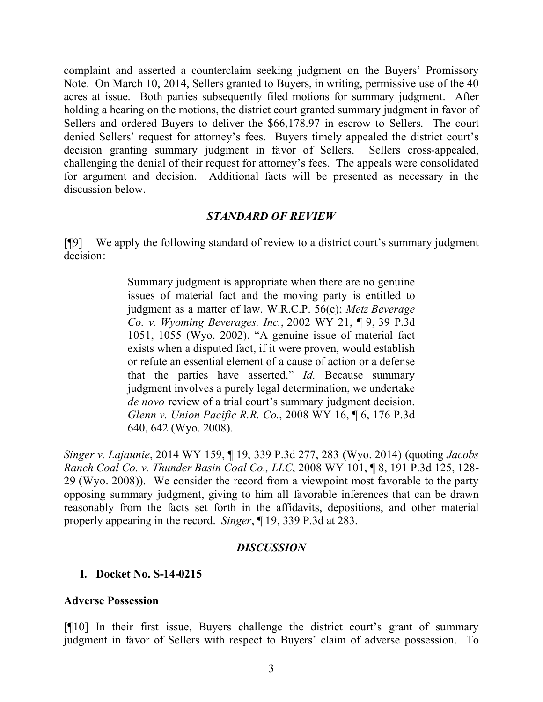complaint and asserted a counterclaim seeking judgment on the Buyers' Promissory Note. On March 10, 2014, Sellers granted to Buyers, in writing, permissive use of the 40 acres at issue. Both parties subsequently filed motions for summary judgment. After holding a hearing on the motions, the district court granted summary judgment in favor of Sellers and ordered Buyers to deliver the \$66,178.97 in escrow to Sellers. The court denied Sellers' request for attorney's fees. Buyers timely appealed the district court's decision granting summary judgment in favor of Sellers. Sellers cross-appealed, challenging the denial of their request for attorney's fees. The appeals were consolidated for argument and decision. Additional facts will be presented as necessary in the discussion below.

#### *STANDARD OF REVIEW*

[¶9] We apply the following standard of review to a district court's summary judgment decision:

> Summary judgment is appropriate when there are no genuine issues of material fact and the moving party is entitled to judgment as a matter of law. W.R.C.P. 56(c); *Metz Beverage Co. v. Wyoming Beverages, Inc.*, 2002 WY 21, ¶ 9, 39 P.3d 1051, 1055 (Wyo. 2002). "A genuine issue of material fact exists when a disputed fact, if it were proven, would establish or refute an essential element of a cause of action or a defense that the parties have asserted." *Id.* Because summary judgment involves a purely legal determination, we undertake *de novo* review of a trial court's summary judgment decision. *Glenn v. Union Pacific R.R. Co.*, 2008 WY 16, ¶ 6, 176 P.3d 640, 642 (Wyo. 2008).

*Singer v. Lajaunie*, 2014 WY 159, ¶ 19, 339 P.3d 277, 283 (Wyo. 2014) (quoting *Jacobs Ranch Coal Co. v. Thunder Basin Coal Co., LLC*, 2008 WY 101, ¶ 8, 191 P.3d 125, 128- 29 (Wyo. 2008)). We consider the record from a viewpoint most favorable to the party opposing summary judgment, giving to him all favorable inferences that can be drawn reasonably from the facts set forth in the affidavits, depositions, and other material properly appearing in the record. *Singer*, ¶ 19, 339 P.3d at 283.

#### *DISCUSSION*

### **I. Docket No. S-14-0215**

#### **Adverse Possession**

[¶10] In their first issue, Buyers challenge the district court's grant of summary judgment in favor of Sellers with respect to Buyers' claim of adverse possession. To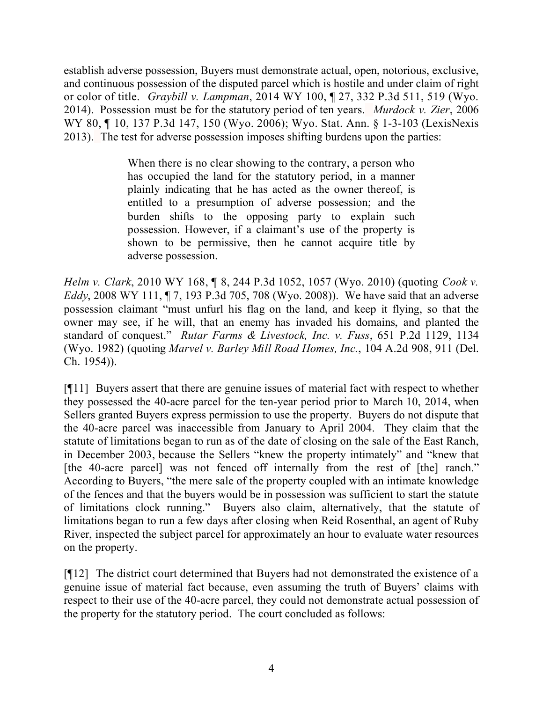establish adverse possession, Buyers must demonstrate actual, open, notorious, exclusive, and continuous possession of the disputed parcel which is hostile and under claim of right or color of title. *Graybill v. Lampman*, 2014 WY 100, ¶ 27, 332 P.3d 511, 519 (Wyo. 2014). Possession must be for the statutory period of ten years. *Murdock v. Zier*, 2006 WY 80, ¶ 10, 137 P.3d 147, 150 (Wyo. 2006); Wyo. Stat. Ann. § 1-3-103 (LexisNexis 2013). The test for adverse possession imposes shifting burdens upon the parties:

> When there is no clear showing to the contrary, a person who has occupied the land for the statutory period, in a manner plainly indicating that he has acted as the owner thereof, is entitled to a presumption of adverse possession; and the burden shifts to the opposing party to explain such possession. However, if a claimant's use of the property is shown to be permissive, then he cannot acquire title by adverse possession.

*Helm v. Clark*, 2010 WY 168, ¶ 8, 244 P.3d 1052, 1057 (Wyo. 2010) (quoting *Cook v. Eddy*, 2008 WY 111, ¶ 7, 193 P.3d 705, 708 (Wyo. 2008)). We have said that an adverse possession claimant "must unfurl his flag on the land, and keep it flying, so that the owner may see, if he will, that an enemy has invaded his domains, and planted the standard of conquest." *Rutar Farms & Livestock, Inc. v. Fuss*, 651 P.2d 1129, 1134 (Wyo. 1982) (quoting *Marvel v. Barley Mill Road Homes, Inc.*, 104 A.2d 908, 911 (Del. Ch. 1954)).

[¶11] Buyers assert that there are genuine issues of material fact with respect to whether they possessed the 40-acre parcel for the ten-year period prior to March 10, 2014, when Sellers granted Buyers express permission to use the property. Buyers do not dispute that the 40-acre parcel was inaccessible from January to April 2004. They claim that the statute of limitations began to run as of the date of closing on the sale of the East Ranch, in December 2003, because the Sellers "knew the property intimately" and "knew that [the 40-acre parcel] was not fenced off internally from the rest of [the] ranch." According to Buyers, "the mere sale of the property coupled with an intimate knowledge of the fences and that the buyers would be in possession was sufficient to start the statute of limitations clock running." Buyers also claim, alternatively, that the statute of limitations began to run a few days after closing when Reid Rosenthal, an agent of Ruby River, inspected the subject parcel for approximately an hour to evaluate water resources on the property.

[¶12] The district court determined that Buyers had not demonstrated the existence of a genuine issue of material fact because, even assuming the truth of Buyers' claims with respect to their use of the 40-acre parcel, they could not demonstrate actual possession of the property for the statutory period. The court concluded as follows: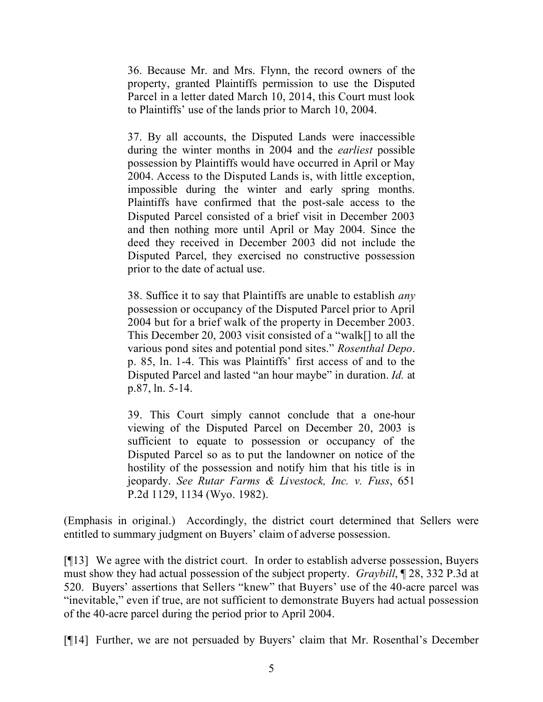36. Because Mr. and Mrs. Flynn, the record owners of the property, granted Plaintiffs permission to use the Disputed Parcel in a letter dated March 10, 2014, this Court must look to Plaintiffs' use of the lands prior to March 10, 2004.

37. By all accounts, the Disputed Lands were inaccessible during the winter months in 2004 and the *earliest* possible possession by Plaintiffs would have occurred in April or May 2004. Access to the Disputed Lands is, with little exception, impossible during the winter and early spring months. Plaintiffs have confirmed that the post-sale access to the Disputed Parcel consisted of a brief visit in December 2003 and then nothing more until April or May 2004. Since the deed they received in December 2003 did not include the Disputed Parcel, they exercised no constructive possession prior to the date of actual use.

38. Suffice it to say that Plaintiffs are unable to establish *any* possession or occupancy of the Disputed Parcel prior to April 2004 but for a brief walk of the property in December 2003. This December 20, 2003 visit consisted of a "walk[] to all the various pond sites and potential pond sites." *Rosenthal Depo*. p. 85, ln. 1-4. This was Plaintiffs' first access of and to the Disputed Parcel and lasted "an hour maybe" in duration. *Id.* at p.87, ln. 5-14.

39. This Court simply cannot conclude that a one-hour viewing of the Disputed Parcel on December 20, 2003 is sufficient to equate to possession or occupancy of the Disputed Parcel so as to put the landowner on notice of the hostility of the possession and notify him that his title is in jeopardy. *See Rutar Farms & Livestock, Inc. v. Fuss*, 651 P.2d 1129, 1134 (Wyo. 1982).

(Emphasis in original.) Accordingly, the district court determined that Sellers were entitled to summary judgment on Buyers' claim of adverse possession.

[¶13] We agree with the district court. In order to establish adverse possession, Buyers must show they had actual possession of the subject property. *Graybill*, ¶ 28, 332 P.3d at 520. Buyers' assertions that Sellers "knew" that Buyers' use of the 40-acre parcel was "inevitable," even if true, are not sufficient to demonstrate Buyers had actual possession of the 40-acre parcel during the period prior to April 2004.

[¶14] Further, we are not persuaded by Buyers' claim that Mr. Rosenthal's December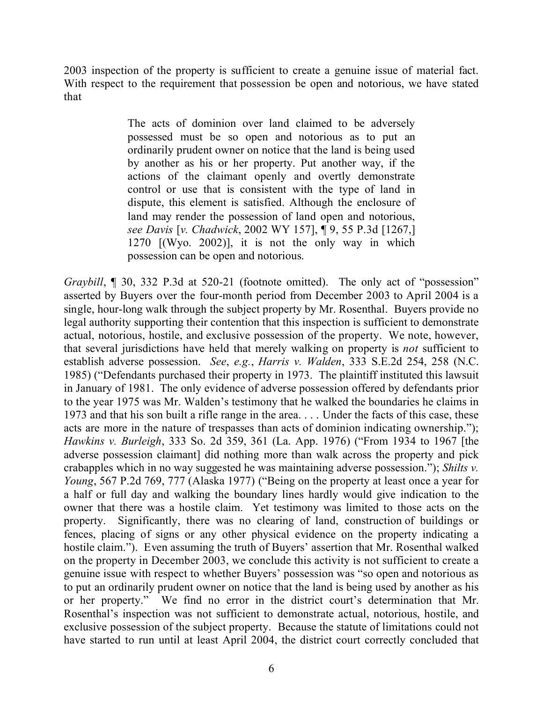2003 inspection of the property is sufficient to create a genuine issue of material fact. With respect to the requirement that possession be open and notorious, we have stated that

> The acts of dominion over land claimed to be adversely possessed must be so open and notorious as to put an ordinarily prudent owner on notice that the land is being used by another as his or her property. Put another way, if the actions of the claimant openly and overtly demonstrate control or use that is consistent with the type of land in dispute, this element is satisfied. Although the enclosure of land may render the possession of land open and notorious, *see Davis* [*v. Chadwick*, 2002 WY 157], ¶ 9, 55 P.3d [1267,] 1270 [(Wyo. 2002)], it is not the only way in which possession can be open and notorious.

*Graybill*, 1 30, 332 P.3d at 520-21 (footnote omitted). The only act of "possession" asserted by Buyers over the four-month period from December 2003 to April 2004 is a single, hour-long walk through the subject property by Mr. Rosenthal. Buyers provide no legal authority supporting their contention that this inspection is sufficient to demonstrate actual, notorious, hostile, and exclusive possession of the property. We note, however, that several jurisdictions have held that merely walking on property is *not* sufficient to establish adverse possession. *See*, *e.g.*, *Harris v. Walden*, 333 S.E.2d 254, 258 (N.C. 1985) ("Defendants purchased their property in 1973. The plaintiff instituted this lawsuit in January of 1981. The only evidence of adverse possession offered by defendants prior to the year 1975 was Mr. Walden's testimony that he walked the boundaries he claims in 1973 and that his son built a rifle range in the area. . . . Under the facts of this case, these acts are more in the nature of trespasses than acts of dominion indicating ownership."); *Hawkins v. Burleigh*, 333 So. 2d 359, 361 (La. App. 1976) ("From 1934 to 1967 [the adverse possession claimant] did nothing more than walk across the property and pick crabapples which in no way suggested he was maintaining adverse possession."); *Shilts v. Young*, 567 P.2d 769, 777 (Alaska 1977) ("Being on the property at least once a year for a half or full day and walking the boundary lines hardly would give indication to the owner that there was a hostile claim. Yet testimony was limited to those acts on the property. Significantly, there was no clearing of land, construction of buildings or fences, placing of signs or any other physical evidence on the property indicating a hostile claim."). Even assuming the truth of Buyers' assertion that Mr. Rosenthal walked on the property in December 2003, we conclude this activity is not sufficient to create a genuine issue with respect to whether Buyers' possession was "so open and notorious as to put an ordinarily prudent owner on notice that the land is being used by another as his or her property." We find no error in the district court's determination that Mr. Rosenthal's inspection was not sufficient to demonstrate actual, notorious, hostile, and exclusive possession of the subject property. Because the statute of limitations could not have started to run until at least April 2004, the district court correctly concluded that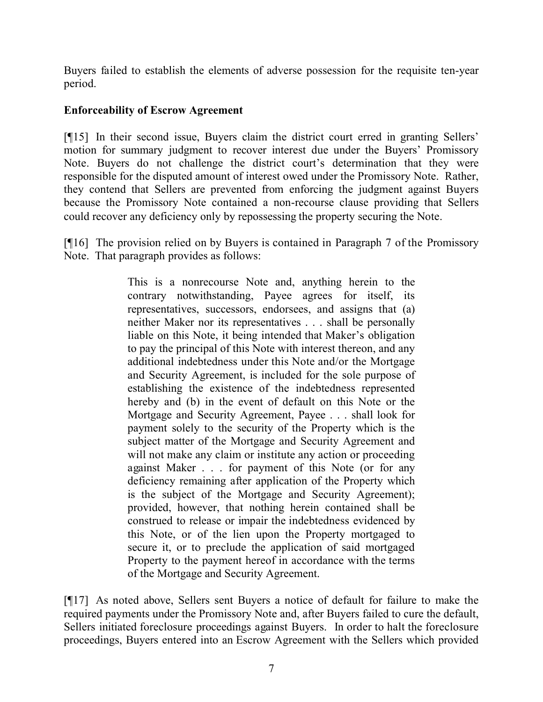Buyers failed to establish the elements of adverse possession for the requisite ten-year period.

## **Enforceability of Escrow Agreement**

[¶15] In their second issue, Buyers claim the district court erred in granting Sellers' motion for summary judgment to recover interest due under the Buyers' Promissory Note. Buyers do not challenge the district court's determination that they were responsible for the disputed amount of interest owed under the Promissory Note. Rather, they contend that Sellers are prevented from enforcing the judgment against Buyers because the Promissory Note contained a non-recourse clause providing that Sellers could recover any deficiency only by repossessing the property securing the Note.

[¶16] The provision relied on by Buyers is contained in Paragraph 7 of the Promissory Note. That paragraph provides as follows:

> This is a nonrecourse Note and, anything herein to the contrary notwithstanding, Payee agrees for itself, its representatives, successors, endorsees, and assigns that (a) neither Maker nor its representatives . . . shall be personally liable on this Note, it being intended that Maker's obligation to pay the principal of this Note with interest thereon, and any additional indebtedness under this Note and/or the Mortgage and Security Agreement, is included for the sole purpose of establishing the existence of the indebtedness represented hereby and (b) in the event of default on this Note or the Mortgage and Security Agreement, Payee . . . shall look for payment solely to the security of the Property which is the subject matter of the Mortgage and Security Agreement and will not make any claim or institute any action or proceeding against Maker . . . for payment of this Note (or for any deficiency remaining after application of the Property which is the subject of the Mortgage and Security Agreement); provided, however, that nothing herein contained shall be construed to release or impair the indebtedness evidenced by this Note, or of the lien upon the Property mortgaged to secure it, or to preclude the application of said mortgaged Property to the payment hereof in accordance with the terms of the Mortgage and Security Agreement.

[¶17] As noted above, Sellers sent Buyers a notice of default for failure to make the required payments under the Promissory Note and, after Buyers failed to cure the default, Sellers initiated foreclosure proceedings against Buyers. In order to halt the foreclosure proceedings, Buyers entered into an Escrow Agreement with the Sellers which provided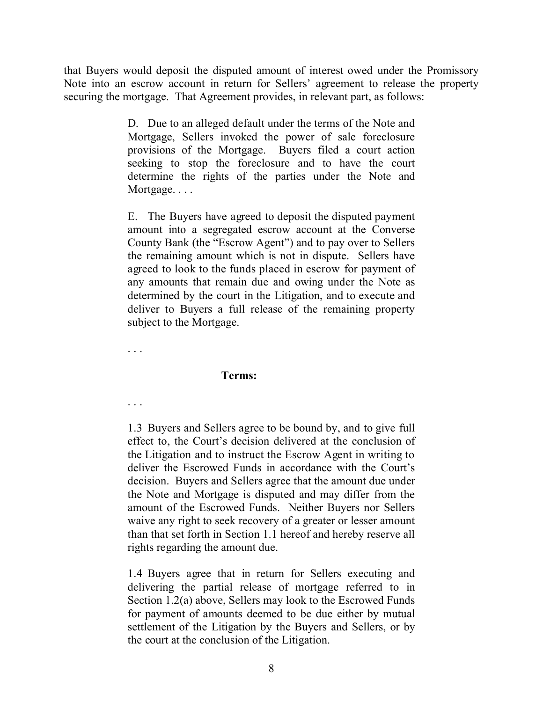that Buyers would deposit the disputed amount of interest owed under the Promissory Note into an escrow account in return for Sellers' agreement to release the property securing the mortgage. That Agreement provides, in relevant part, as follows:

> D. Due to an alleged default under the terms of the Note and Mortgage, Sellers invoked the power of sale foreclosure provisions of the Mortgage. Buyers filed a court action seeking to stop the foreclosure and to have the court determine the rights of the parties under the Note and Mortgage...

> E. The Buyers have agreed to deposit the disputed payment amount into a segregated escrow account at the Converse County Bank (the "Escrow Agent") and to pay over to Sellers the remaining amount which is not in dispute. Sellers have agreed to look to the funds placed in escrow for payment of any amounts that remain due and owing under the Note as determined by the court in the Litigation, and to execute and deliver to Buyers a full release of the remaining property subject to the Mortgage.

. . .

. . .

#### **Terms:**

1.3 Buyers and Sellers agree to be bound by, and to give full effect to, the Court's decision delivered at the conclusion of the Litigation and to instruct the Escrow Agent in writing to deliver the Escrowed Funds in accordance with the Court's decision. Buyers and Sellers agree that the amount due under the Note and Mortgage is disputed and may differ from the amount of the Escrowed Funds. Neither Buyers nor Sellers waive any right to seek recovery of a greater or lesser amount than that set forth in Section 1.1 hereof and hereby reserve all rights regarding the amount due.

1.4 Buyers agree that in return for Sellers executing and delivering the partial release of mortgage referred to in Section 1.2(a) above, Sellers may look to the Escrowed Funds for payment of amounts deemed to be due either by mutual settlement of the Litigation by the Buyers and Sellers, or by the court at the conclusion of the Litigation.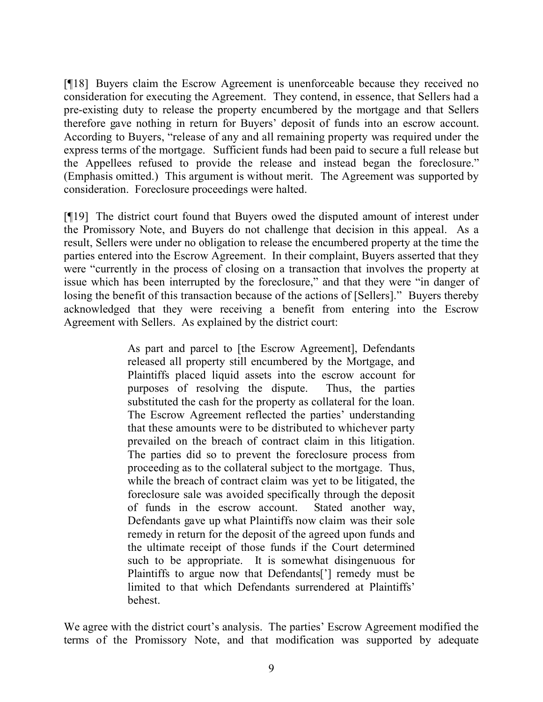[¶18] Buyers claim the Escrow Agreement is unenforceable because they received no consideration for executing the Agreement. They contend, in essence, that Sellers had a pre-existing duty to release the property encumbered by the mortgage and that Sellers therefore gave nothing in return for Buyers' deposit of funds into an escrow account. According to Buyers, "release of any and all remaining property was required under the express terms of the mortgage. Sufficient funds had been paid to secure a full release but the Appellees refused to provide the release and instead began the foreclosure." (Emphasis omitted.) This argument is without merit. The Agreement was supported by consideration. Foreclosure proceedings were halted.

[¶19] The district court found that Buyers owed the disputed amount of interest under the Promissory Note, and Buyers do not challenge that decision in this appeal. As a result, Sellers were under no obligation to release the encumbered property at the time the parties entered into the Escrow Agreement. In their complaint, Buyers asserted that they were "currently in the process of closing on a transaction that involves the property at issue which has been interrupted by the foreclosure," and that they were "in danger of losing the benefit of this transaction because of the actions of [Sellers]." Buyers thereby acknowledged that they were receiving a benefit from entering into the Escrow Agreement with Sellers. As explained by the district court:

> As part and parcel to [the Escrow Agreement], Defendants released all property still encumbered by the Mortgage, and Plaintiffs placed liquid assets into the escrow account for purposes of resolving the dispute. Thus, the parties substituted the cash for the property as collateral for the loan. The Escrow Agreement reflected the parties' understanding that these amounts were to be distributed to whichever party prevailed on the breach of contract claim in this litigation. The parties did so to prevent the foreclosure process from proceeding as to the collateral subject to the mortgage. Thus, while the breach of contract claim was yet to be litigated, the foreclosure sale was avoided specifically through the deposit of funds in the escrow account. Stated another way, Defendants gave up what Plaintiffs now claim was their sole remedy in return for the deposit of the agreed upon funds and the ultimate receipt of those funds if the Court determined such to be appropriate. It is somewhat disingenuous for Plaintiffs to argue now that Defendants['] remedy must be limited to that which Defendants surrendered at Plaintiffs' behest.

We agree with the district court's analysis. The parties' Escrow Agreement modified the terms of the Promissory Note, and that modification was supported by adequate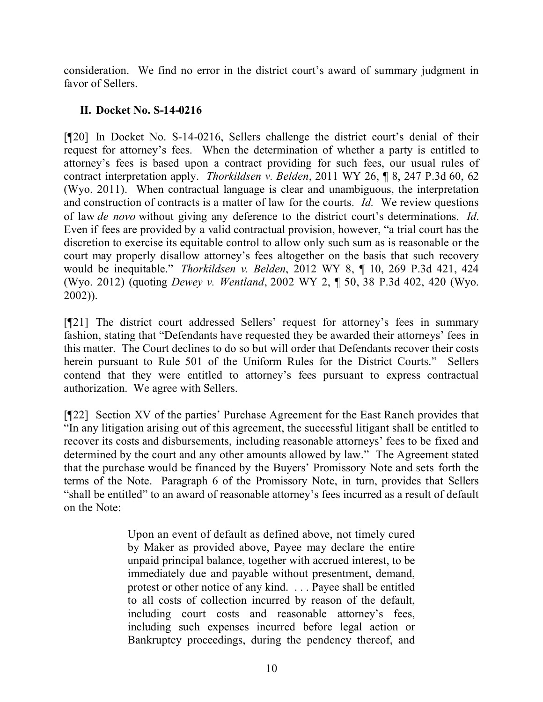consideration. We find no error in the district court's award of summary judgment in favor of Sellers.

# **II. Docket No. S-14-0216**

[¶20] In Docket No. S-14-0216, Sellers challenge the district court's denial of their request for attorney's fees. When the determination of whether a party is entitled to attorney's fees is based upon a contract providing for such fees, our usual rules of contract interpretation apply. *Thorkildsen v. Belden*, 2011 WY 26, ¶ 8, 247 P.3d 60, 62 (Wyo. 2011). When contractual language is clear and unambiguous, the interpretation and construction of contracts is a matter of law for the courts. *Id.* We review questions of law *de novo* without giving any deference to the district court's determinations. *Id*. Even if fees are provided by a valid contractual provision, however, "a trial court has the discretion to exercise its equitable control to allow only such sum as is reasonable or the court may properly disallow attorney's fees altogether on the basis that such recovery would be inequitable." *Thorkildsen v. Belden*, 2012 WY 8, ¶ 10, 269 P.3d 421, 424 (Wyo. 2012) (quoting *Dewey v. Wentland*, 2002 WY 2, ¶ 50, 38 P.3d 402, 420 (Wyo. 2002)).

[¶21] The district court addressed Sellers' request for attorney's fees in summary fashion, stating that "Defendants have requested they be awarded their attorneys' fees in this matter. The Court declines to do so but will order that Defendants recover their costs herein pursuant to Rule 501 of the Uniform Rules for the District Courts." Sellers contend that they were entitled to attorney's fees pursuant to express contractual authorization. We agree with Sellers.

[¶22] Section XV of the parties' Purchase Agreement for the East Ranch provides that "In any litigation arising out of this agreement, the successful litigant shall be entitled to recover its costs and disbursements, including reasonable attorneys' fees to be fixed and determined by the court and any other amounts allowed by law." The Agreement stated that the purchase would be financed by the Buyers' Promissory Note and sets forth the terms of the Note. Paragraph 6 of the Promissory Note, in turn, provides that Sellers "shall be entitled" to an award of reasonable attorney's fees incurred as a result of default on the Note:

> Upon an event of default as defined above, not timely cured by Maker as provided above, Payee may declare the entire unpaid principal balance, together with accrued interest, to be immediately due and payable without presentment, demand, protest or other notice of any kind. . . . Payee shall be entitled to all costs of collection incurred by reason of the default, including court costs and reasonable attorney's fees, including such expenses incurred before legal action or Bankruptcy proceedings, during the pendency thereof, and